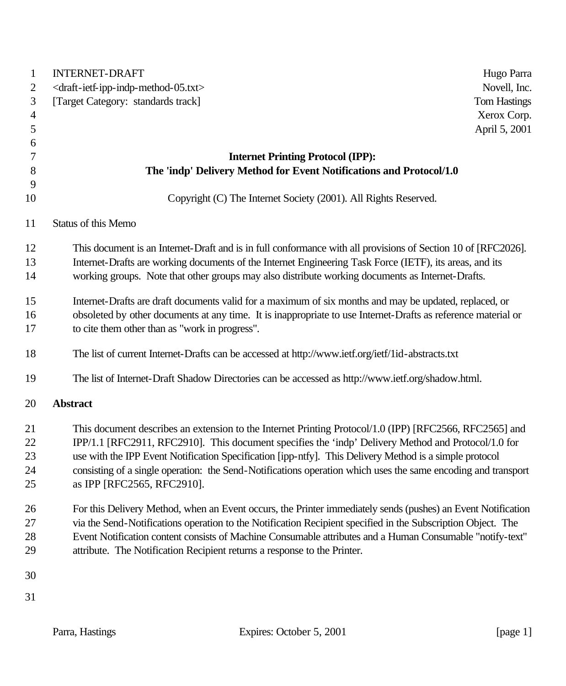| 1              | <b>INTERNET-DRAFT</b><br>Hugo Parra                                                                           |
|----------------|---------------------------------------------------------------------------------------------------------------|
| 2              | <draft-ietf-ipp-indp-method-05.txt><br/>Novell, Inc.</draft-ietf-ipp-indp-method-05.txt>                      |
| 3              | [Target Category: standards track]<br><b>Tom Hastings</b>                                                     |
| $\overline{4}$ | Xerox Corp.                                                                                                   |
| 5              | April 5, 2001                                                                                                 |
| 6              |                                                                                                               |
| 7              | <b>Internet Printing Protocol (IPP):</b>                                                                      |
| 8              | The 'indp' Delivery Method for Event Notifications and Protocol/1.0                                           |
| 9              |                                                                                                               |
| 10             | Copyright (C) The Internet Society (2001). All Rights Reserved.                                               |
| 11             | Status of this Memo                                                                                           |
| 12             | This document is an Internet-Draft and is in full conformance with all provisions of Section 10 of [RFC2026]. |
| 13             | Internet-Drafts are working documents of the Internet Engineering Task Force (IETF), its areas, and its       |
| 14             | working groups. Note that other groups may also distribute working documents as Internet-Drafts.              |
| 15             | Internet-Drafts are draft documents valid for a maximum of six months and may be updated, replaced, or        |
| 16             | obsoleted by other documents at any time. It is inappropriate to use Internet-Drafts as reference material or |
| 17             | to cite them other than as "work in progress".                                                                |
| 18             | The list of current Internet-Drafts can be accessed at http://www.ietf.org/ietf/1id-abstracts.txt             |
| 19             | The list of Internet-Draft Shadow Directories can be accessed as http://www.ietf.org/shadow.html.             |
| 20             | <b>Abstract</b>                                                                                               |
| 21             | This document describes an extension to the Internet Printing Protocol/1.0 (IPP) [RFC2566, RFC2565] and       |
| 22             | IPP/1.1 [RFC2911, RFC2910]. This document specifies the 'indp' Delivery Method and Protocol/1.0 for           |
| 23             | use with the IPP Event Notification Specification [ipp-ntfy]. This Delivery Method is a simple protocol       |
| 24             | consisting of a single operation: the Send-Notifications operation which uses the same encoding and transport |
| 25             | as IPP [RFC2565, RFC2910].                                                                                    |
| 26             | For this Delivery Method, when an Event occurs, the Printer immediately sends (pushes) an Event Notification  |
| 27             | via the Send-Notifications operation to the Notification Recipient specified in the Subscription Object. The  |
| 28             | Event Notification content consists of Machine Consumable attributes and a Human Consumable "notify-text"     |
| 29             | attribute. The Notification Recipient returns a response to the Printer.                                      |
| 30             |                                                                                                               |
| 31             |                                                                                                               |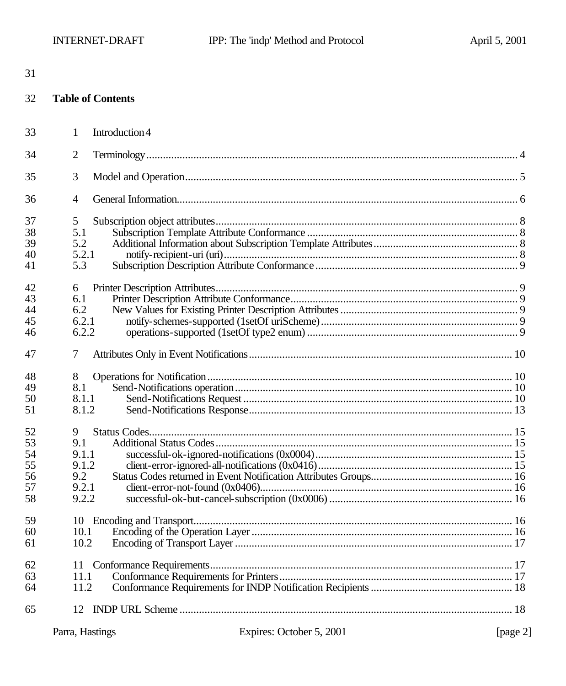| I<br>۰. |  |
|---------|--|

#### 32 **Table of Contents**

| 33 | $\mathbf{1}$<br>Introduction 4 |  |
|----|--------------------------------|--|
| 34 | $\overline{2}$                 |  |
| 35 | 3                              |  |
| 36 | 4                              |  |
| 37 | 5                              |  |
| 38 | 5.1                            |  |
| 39 | 5.2                            |  |
| 40 | 5.2.1                          |  |
| 41 | 5.3                            |  |
| 42 | 6                              |  |
| 43 | 6.1                            |  |
| 44 | 6.2                            |  |
| 45 | 6.2.1                          |  |
| 46 | 6.2.2                          |  |
| 47 | 7                              |  |
| 48 | 8                              |  |
| 49 | 8.1                            |  |
| 50 | 8.1.1                          |  |
| 51 | 8.1.2                          |  |
| 52 | 9                              |  |
| 53 | 9.1                            |  |
| 54 | 9.1.1                          |  |
| 55 | 9.1.2                          |  |
| 56 | 9.2                            |  |
| 57 | 9.2.1                          |  |
| 58 | 9.2.2                          |  |
| 59 |                                |  |
| 60 | 10.1                           |  |
| 61 | 10.2                           |  |
| 62 | 11                             |  |
| 63 | 11.1                           |  |
| 64 | 11.2                           |  |
| 65 |                                |  |
|    |                                |  |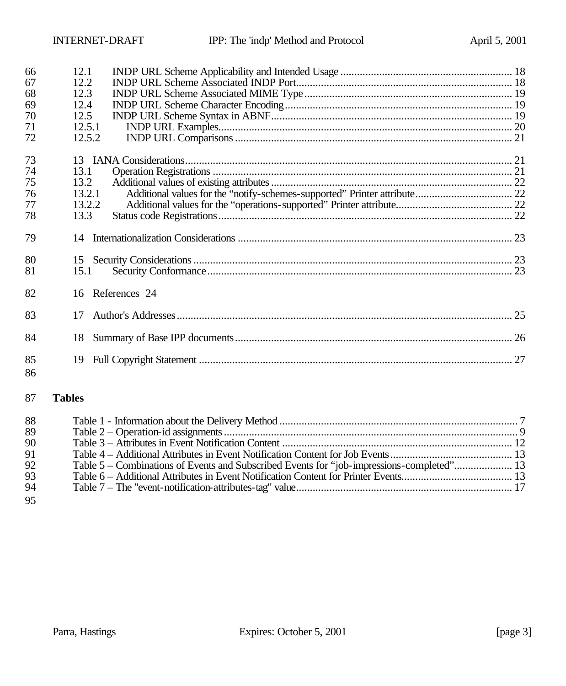| 66<br>67<br>68<br>69<br>70<br>71<br>72 | 12.1<br>12.2<br>12.3<br>12.4<br>12.5<br>12.5.1<br>12.5.2 |                  |  |
|----------------------------------------|----------------------------------------------------------|------------------|--|
| 73                                     |                                                          |                  |  |
| 74                                     | 13.1                                                     |                  |  |
| 75                                     | 13.2                                                     |                  |  |
| 76                                     | 13.2.1                                                   |                  |  |
| 77                                     | 13.2.2                                                   |                  |  |
| 78                                     | 13.3                                                     |                  |  |
| 79                                     |                                                          |                  |  |
| 80                                     |                                                          |                  |  |
| 81                                     | 15.1                                                     |                  |  |
| 82                                     |                                                          | 16 References 24 |  |
| 83                                     | 17                                                       |                  |  |
| 84                                     | 18                                                       |                  |  |
| 85<br>86                               | 19                                                       |                  |  |
| 87                                     | <b>Tables</b>                                            |                  |  |

| 88 |                                                                                           |  |
|----|-------------------------------------------------------------------------------------------|--|
| 89 |                                                                                           |  |
| 90 |                                                                                           |  |
| 91 |                                                                                           |  |
| 92 | Table 5 – Combinations of Events and Subscribed Events for "job-impressions-completed" 13 |  |
| 93 |                                                                                           |  |
| 94 |                                                                                           |  |
| 95 |                                                                                           |  |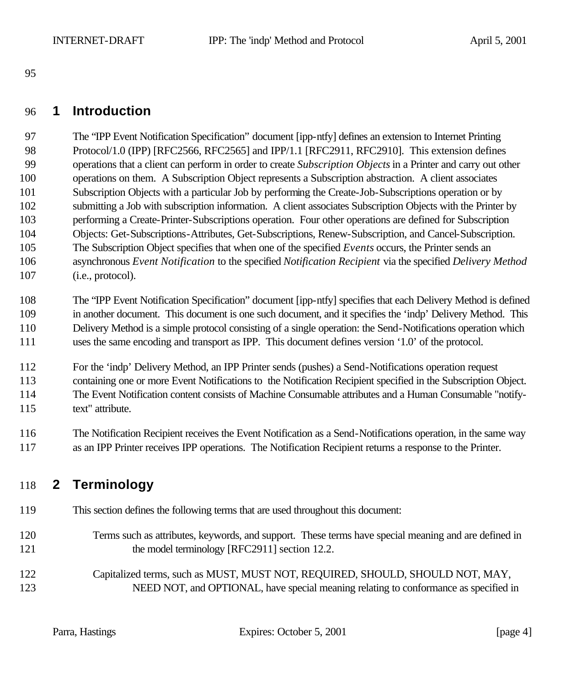### **1 Introduction**

 The "IPP Event Notification Specification" document [ipp-ntfy] defines an extension to Internet Printing 98 Protocol/1.0 (IPP) [RFC2566, RFC2565] and IPP/1.1 [RFC2911, RFC2910]. This extension defines operations that a client can perform in order to create *Subscription Objects* in a Printer and carry out other operations on them. A Subscription Object represents a Subscription abstraction. A client associates Subscription Objects with a particular Job by performing the Create-Job-Subscriptions operation or by submitting a Job with subscription information. A client associates Subscription Objects with the Printer by performing a Create-Printer-Subscriptions operation. Four other operations are defined for Subscription Objects: Get-Subscriptions-Attributes, Get-Subscriptions, Renew-Subscription, and Cancel-Subscription. The Subscription Object specifies that when one of the specified *Events* occurs, the Printer sends an asynchronous *Event Notification* to the specified *Notification Recipient* via the specified *Delivery Method* 107 (i.e., protocol).

 The "IPP Event Notification Specification" document [ipp-ntfy] specifies that each Delivery Method is defined in another document. This document is one such document, and it specifies the 'indp' Delivery Method. This Delivery Method is a simple protocol consisting of a single operation: the Send-Notifications operation which uses the same encoding and transport as IPP. This document defines version '1.0' of the protocol.

 For the 'indp' Delivery Method, an IPP Printer sends (pushes) a Send-Notifications operation request containing one or more Event Notifications to the Notification Recipient specified in the Subscription Object. The Event Notification content consists of Machine Consumable attributes and a Human Consumable "notify-text" attribute.

 The Notification Recipient receives the Event Notification as a Send-Notifications operation, in the same way as an IPP Printer receives IPP operations. The Notification Recipient returns a response to the Printer.

# **2 Terminology**

- This section defines the following terms that are used throughout this document:
- Terms such as attributes, keywords, and support. These terms have special meaning and are defined in 121 the model terminology [RFC2911] section 12.2.
- Capitalized terms, such as MUST, MUST NOT, REQUIRED, SHOULD, SHOULD NOT, MAY, NEED NOT, and OPTIONAL, have special meaning relating to conformance as specified in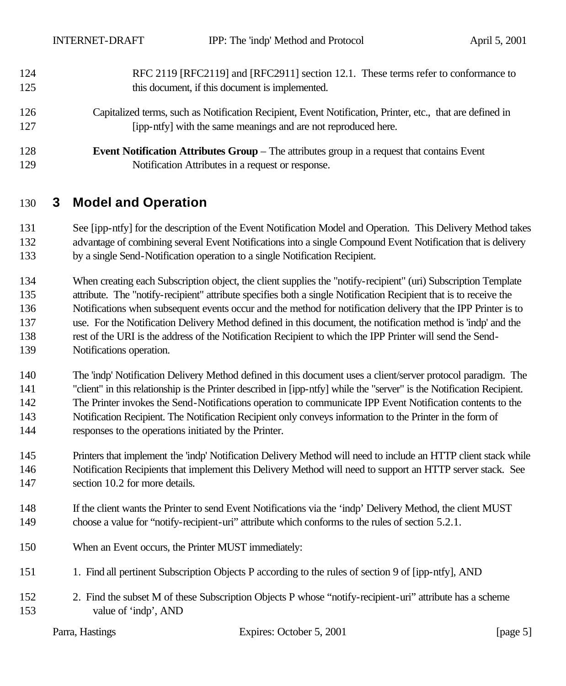| 124 | RFC 2119 [RFC2119] and [RFC2911] section 12.1. These terms refer to conformance to                        |
|-----|-----------------------------------------------------------------------------------------------------------|
| 125 | this document, if this document is implemented.                                                           |
| 126 | Capitalized terms, such as Notification Recipient, Event Notification, Printer, etc., that are defined in |
| 127 | [ipp-ntfy] with the same meanings and are not reproduced here.                                            |
| 128 | <b>Event Notification Attributes Group</b> – The attributes group in a request that contains Event        |
| 129 | Notification Attributes in a request or response.                                                         |

### **3 Model and Operation**

 See [ipp-ntfy] for the description of the Event Notification Model and Operation. This Delivery Method takes advantage of combining several Event Notifications into a single Compound Event Notification that is delivery by a single Send-Notification operation to a single Notification Recipient.

 When creating each Subscription object, the client supplies the "notify-recipient" (uri) Subscription Template attribute. The "notify-recipient" attribute specifies both a single Notification Recipient that is to receive the Notifications when subsequent events occur and the method for notification delivery that the IPP Printer is to use. For the Notification Delivery Method defined in this document, the notification method is 'indp' and the rest of the URI is the address of the Notification Recipient to which the IPP Printer will send the Send-Notifications operation.

 The 'indp' Notification Delivery Method defined in this document uses a client/server protocol paradigm. The "client" in this relationship is the Printer described in [ipp-ntfy] while the "server" is the Notification Recipient. The Printer invokes the Send-Notifications operation to communicate IPP Event Notification contents to the Notification Recipient. The Notification Recipient only conveys information to the Printer in the form of responses to the operations initiated by the Printer.

 Printers that implement the 'indp' Notification Delivery Method will need to include an HTTP client stack while Notification Recipients that implement this Delivery Method will need to support an HTTP server stack. See 147 section 10.2 for more details.

- If the client wants the Printer to send Event Notifications via the 'indp' Delivery Method, the client MUST choose a value for "notify-recipient-uri" attribute which conforms to the rules of section 5.2.1.
- When an Event occurs, the Printer MUST immediately:
- 1. Find all pertinent Subscription Objects P according to the rules of section 9 of [ipp-ntfy], AND
- 2. Find the subset M of these Subscription Objects P whose "notify-recipient-uri" attribute has a scheme value of 'indp', AND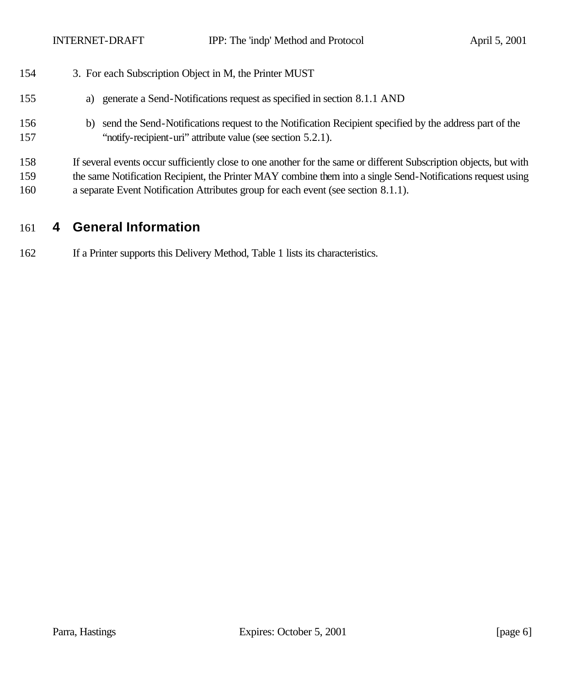| 154        | 3. For each Subscription Object in M, the Printer MUST                                                                                                                      |
|------------|-----------------------------------------------------------------------------------------------------------------------------------------------------------------------------|
| 155        | generate a Send-Notifications request as specified in section 8.1.1 AND<br>a)                                                                                               |
| 156<br>157 | send the Send-Notifications request to the Notification Recipient specified by the address part of the<br>b)<br>"notify-recipient-uri" attribute value (see section 5.2.1). |
| 158        | If several events occur sufficiently close to one another for the same or different Subscription objects, but with                                                          |
| 159        | the same Notification Recipient, the Printer MAY combine them into a single Send-Notifications request using                                                                |
| 160        | a separate Event Notification Attributes group for each event (see section 8.1.1).                                                                                          |

# **4 General Information**

If a Printer supports this Delivery Method, Table 1 lists its characteristics.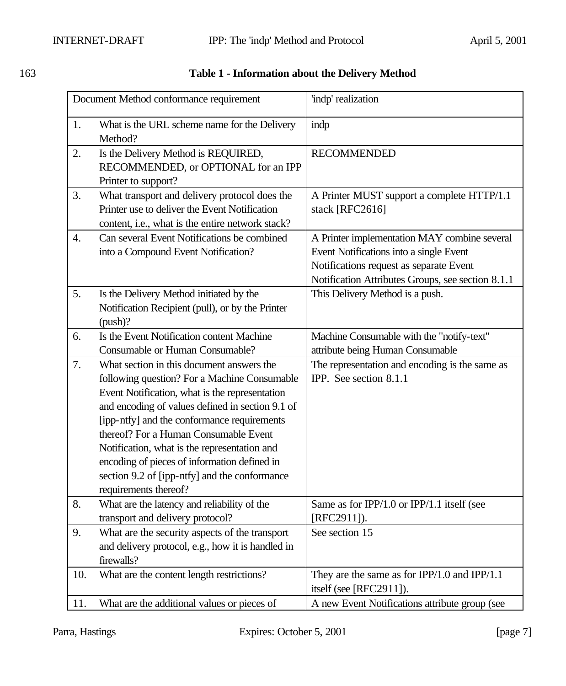|                  | Document Method conformance requirement                                                                                                                                                                                                                                                                                                                                                                                                                           | 'indp' realization                                                                                                                                                                      |
|------------------|-------------------------------------------------------------------------------------------------------------------------------------------------------------------------------------------------------------------------------------------------------------------------------------------------------------------------------------------------------------------------------------------------------------------------------------------------------------------|-----------------------------------------------------------------------------------------------------------------------------------------------------------------------------------------|
| 1.               | What is the URL scheme name for the Delivery<br>Method?                                                                                                                                                                                                                                                                                                                                                                                                           | indp                                                                                                                                                                                    |
| 2.               | Is the Delivery Method is REQUIRED,<br>RECOMMENDED, or OPTIONAL for an IPP<br>Printer to support?                                                                                                                                                                                                                                                                                                                                                                 | <b>RECOMMENDED</b>                                                                                                                                                                      |
| 3.               | What transport and delivery protocol does the<br>Printer use to deliver the Event Notification<br>content, i.e., what is the entire network stack?                                                                                                                                                                                                                                                                                                                | A Printer MUST support a complete HTTP/1.1<br>stack [RFC2616]                                                                                                                           |
| $\overline{4}$ . | Can several Event Notifications be combined<br>into a Compound Event Notification?                                                                                                                                                                                                                                                                                                                                                                                | A Printer implementation MAY combine several<br>Event Notifications into a single Event<br>Notifications request as separate Event<br>Notification Attributes Groups, see section 8.1.1 |
| 5.               | Is the Delivery Method initiated by the<br>Notification Recipient (pull), or by the Printer<br>$(push)$ ?                                                                                                                                                                                                                                                                                                                                                         | This Delivery Method is a push.                                                                                                                                                         |
| 6.               | Is the Event Notification content Machine<br>Consumable or Human Consumable?                                                                                                                                                                                                                                                                                                                                                                                      | Machine Consumable with the "notify-text"<br>attribute being Human Consumable                                                                                                           |
| 7.               | What section in this document answers the<br>following question? For a Machine Consumable<br>Event Notification, what is the representation<br>and encoding of values defined in section 9.1 of<br>[ipp-ntfy] and the conformance requirements<br>thereof? For a Human Consumable Event<br>Notification, what is the representation and<br>encoding of pieces of information defined in<br>section 9.2 of [ipp-ntfy] and the conformance<br>requirements thereof? | The representation and encoding is the same as<br>IPP. See section 8.1.1                                                                                                                |
| 8.               | What are the latency and reliability of the<br>transport and delivery protocol?                                                                                                                                                                                                                                                                                                                                                                                   | Same as for IPP/1.0 or IPP/1.1 itself (see<br>$[RFC2911]$ .                                                                                                                             |
| 9.               | What are the security aspects of the transport<br>and delivery protocol, e.g., how it is handled in<br>firewalls?                                                                                                                                                                                                                                                                                                                                                 | See section 15                                                                                                                                                                          |
| 10.              | What are the content length restrictions?                                                                                                                                                                                                                                                                                                                                                                                                                         | They are the same as for $IPP/1.0$ and $IPP/1.1$<br>itself (see [RFC2911]).                                                                                                             |
| 11.              | What are the additional values or pieces of                                                                                                                                                                                                                                                                                                                                                                                                                       | A new Event Notifications attribute group (see                                                                                                                                          |

#### 163 **Table 1 - Information about the Delivery Method**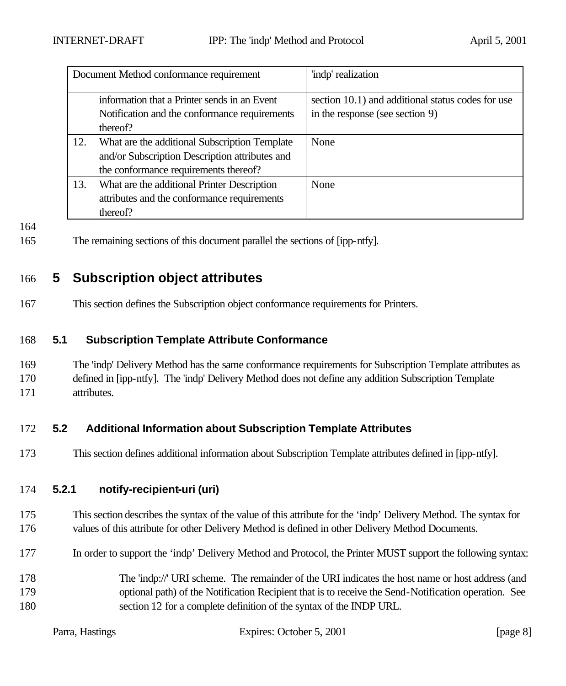| Document Method conformance requirement                                                                   |                                                                                                                                          | 'indp' realization                                                                   |
|-----------------------------------------------------------------------------------------------------------|------------------------------------------------------------------------------------------------------------------------------------------|--------------------------------------------------------------------------------------|
| information that a Printer sends in an Event<br>Notification and the conformance requirements<br>thereof? |                                                                                                                                          | section 10.1) and additional status codes for use<br>in the response (see section 9) |
| 12.                                                                                                       | What are the additional Subscription Template<br>and/or Subscription Description attributes and<br>the conformance requirements thereof? | None                                                                                 |
| 13.                                                                                                       | What are the additional Printer Description<br>attributes and the conformance requirements<br>thereof?                                   | None                                                                                 |

164

165 The remaining sections of this document parallel the sections of [ipp-ntfy].

## 166 **5 Subscription object attributes**

167 This section defines the Subscription object conformance requirements for Printers.

#### 168 **5.1 Subscription Template Attribute Conformance**

169 The 'indp' Delivery Method has the same conformance requirements for Subscription Template attributes as 170 defined in [ipp-ntfy]. The 'indp' Delivery Method does not define any addition Subscription Template 171 attributes.

### 172 **5.2 Additional Information about Subscription Template Attributes**

173 This section defines additional information about Subscription Template attributes defined in [ipp-ntfy].

#### 174 **5.2.1 notify-recipient-uri (uri)**

- 175 This section describes the syntax of the value of this attribute for the 'indp' Delivery Method. The syntax for 176 values of this attribute for other Delivery Method is defined in other Delivery Method Documents.
- 177 In order to support the 'indp' Delivery Method and Protocol, the Printer MUST support the following syntax:
- 178 The 'indp://' URI scheme. The remainder of the URI indicates the host name or host address (and 179 optional path) of the Notification Recipient that is to receive the Send-Notification operation. See 180 section 12 for a complete definition of the syntax of the INDP URL.

|  | Parra, Hastings |
|--|-----------------|
|--|-----------------|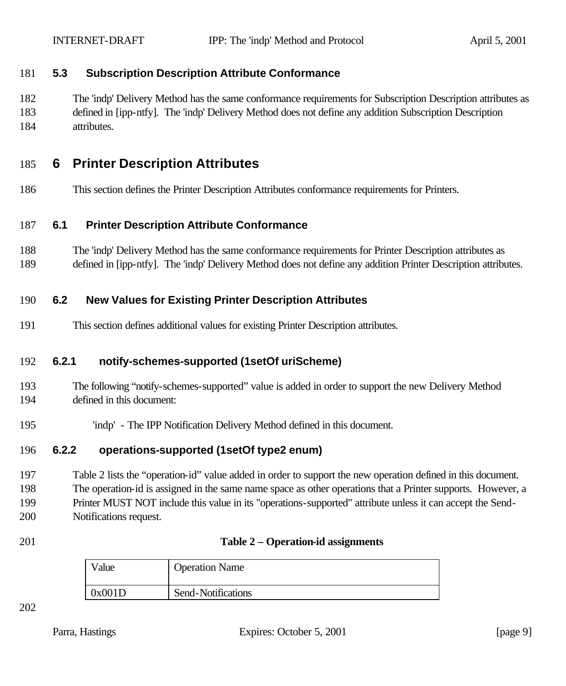#### **5.3 Subscription Description Attribute Conformance**

 The 'indp' Delivery Method has the same conformance requirements for Subscription Description attributes as defined in [ipp-ntfy]. The 'indp' Delivery Method does not define any addition Subscription Description attributes.

### **6 Printer Description Attributes**

This section defines the Printer Description Attributes conformance requirements for Printers.

#### **6.1 Printer Description Attribute Conformance**

- The 'indp' Delivery Method has the same conformance requirements for Printer Description attributes as
- defined in [ipp-ntfy]. The 'indp' Delivery Method does not define any addition Printer Description attributes.

#### **6.2 New Values for Existing Printer Description Attributes**

This section defines additional values for existing Printer Description attributes.

### **6.2.1 notify-schemes-supported (1setOf uriScheme)**

- The following "notify-schemes-supported" value is added in order to support the new Delivery Method defined in this document:
- 'indp' The IPP Notification Delivery Method defined in this document.

#### **6.2.2 operations-supported (1setOf type2 enum)**

 Table 2 lists the "operation-id" value added in order to support the new operation defined in this document. The operation-id is assigned in the same name space as other operations that a Printer supports. However, a Printer MUST NOT include this value in its "operations-supported" attribute unless it can accept the Send-Notifications request.

| 201 | Table 2 – Operation-id assignments |
|-----|------------------------------------|
|-----|------------------------------------|

| $v_{\text{alue}}$ | <b>Operation Name</b> |
|-------------------|-----------------------|
| 0x001D            | Send-Notifications    |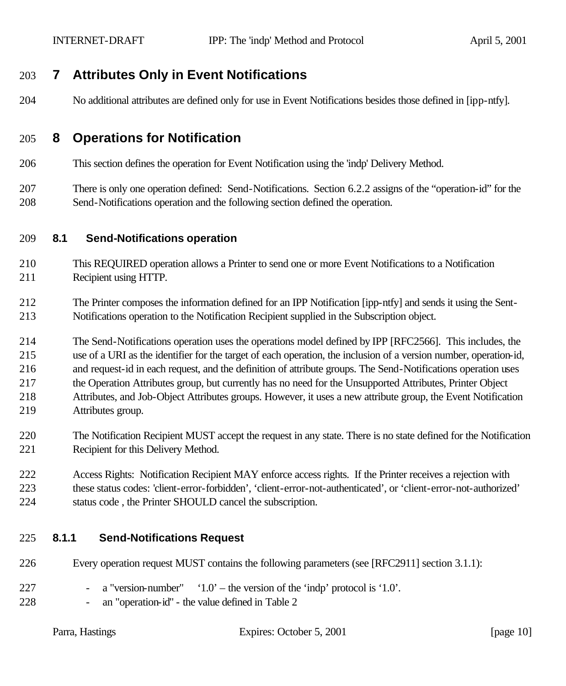## **7 Attributes Only in Event Notifications**

No additional attributes are defined only for use in Event Notifications besides those defined in [ipp-ntfy].

### **8 Operations for Notification**

This section defines the operation for Event Notification using the 'indp' Delivery Method.

 There is only one operation defined: Send-Notifications. Section 6.2.2 assigns of the "operation-id" for the Send-Notifications operation and the following section defined the operation.

#### **8.1 Send-Notifications operation**

- This REQUIRED operation allows a Printer to send one or more Event Notifications to a Notification Recipient using HTTP.
- The Printer composes the information defined for an IPP Notification [ipp-ntfy] and sends it using the Sent-Notifications operation to the Notification Recipient supplied in the Subscription object.
- The Send-Notifications operation uses the operations model defined by IPP [RFC2566]. This includes, the
- use of a URI as the identifier for the target of each operation, the inclusion of a version number, operation-id,
- and request-id in each request, and the definition of attribute groups. The Send-Notifications operation uses
- the Operation Attributes group, but currently has no need for the Unsupported Attributes, Printer Object
- Attributes, and Job-Object Attributes groups. However, it uses a new attribute group, the Event Notification Attributes group.
- The Notification Recipient MUST accept the request in any state. There is no state defined for the Notification Recipient for this Delivery Method.
- Access Rights: Notification Recipient MAY enforce access rights. If the Printer receives a rejection with these status codes: 'client-error-forbidden', 'client-error-not-authenticated', or 'client-error-not-authorized' status code , the Printer SHOULD cancel the subscription.

### **8.1.1 Send-Notifications Request**

- Every operation request MUST contains the following parameters (see [RFC2911] section 3.1.1):
- 227 a "version-number"  $1.0'$  the version of the 'indp' protocol is '1.0'.
- an "operation-id" the value defined in Table 2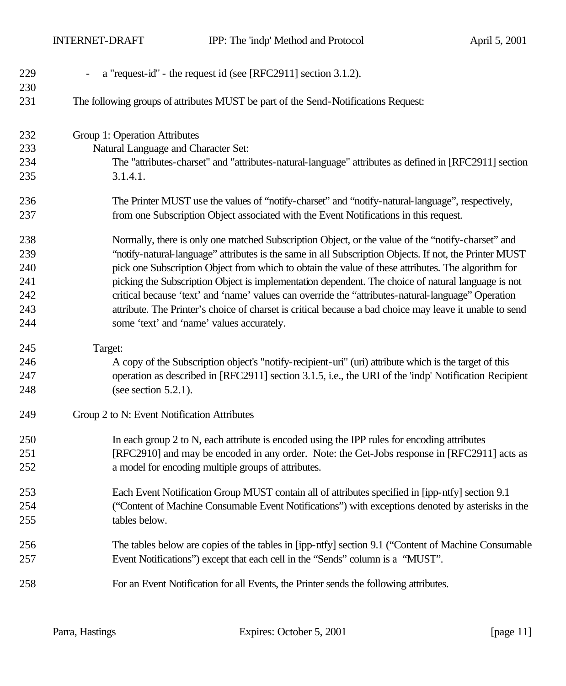INTERNET-DRAFT IPP: The 'indp' Method and Protocol April 5, 2001

| 229<br>230 | a "request-id" - the request id (see [RFC2911] section 3.1.2).                                          |
|------------|---------------------------------------------------------------------------------------------------------|
| 231        | The following groups of attributes MUST be part of the Send-Notifications Request:                      |
| 232        | Group 1: Operation Attributes                                                                           |
| 233        | Natural Language and Character Set:                                                                     |
| 234        | The "attributes-charset" and "attributes-natural-language" attributes as defined in [RFC2911] section   |
| 235        | 3.1.4.1.                                                                                                |
| 236        | The Printer MUST use the values of "notify-charset" and "notify-natural-language", respectively,        |
| 237        | from one Subscription Object associated with the Event Notifications in this request.                   |
| 238        | Normally, there is only one matched Subscription Object, or the value of the "notify-charset" and       |
| 239        | "notify-natural-language" attributes is the same in all Subscription Objects. If not, the Printer MUST  |
| 240        | pick one Subscription Object from which to obtain the value of these attributes. The algorithm for      |
| 241        | picking the Subscription Object is implementation dependent. The choice of natural language is not      |
| 242        | critical because 'text' and 'name' values can override the "attributes-natural-language" Operation      |
| 243        | attribute. The Printer's choice of charset is critical because a bad choice may leave it unable to send |
| 244        | some 'text' and 'name' values accurately.                                                               |
| 245        | Target:                                                                                                 |
| 246        | A copy of the Subscription object's "notify-recipient-uri" (uri) attribute which is the target of this  |
| 247        | operation as described in [RFC2911] section 3.1.5, i.e., the URI of the 'indp' Notification Recipient   |
| 248        | (see section $5.2.1$ ).                                                                                 |
| 249        | Group 2 to N: Event Notification Attributes                                                             |
| 250        | In each group 2 to N, each attribute is encoded using the IPP rules for encoding attributes             |
| 251        | [RFC2910] and may be encoded in any order. Note: the Get-Jobs response in [RFC2911] acts as             |
| 252        | a model for encoding multiple groups of attributes.                                                     |
| 253        | Each Event Notification Group MUST contain all of attributes specified in [ipp-ntfy] section 9.1        |
| 254        | ("Content of Machine Consumable Event Notifications") with exceptions denoted by asterisks in the       |
| 255        | tables below.                                                                                           |
| 256        | The tables below are copies of the tables in [ipp-ntfy] section 9.1 ("Content of Machine Consumable     |
| 257        | Event Notifications") except that each cell in the "Sends" column is a "MUST".                          |
| 258        | For an Event Notification for all Events, the Printer sends the following attributes.                   |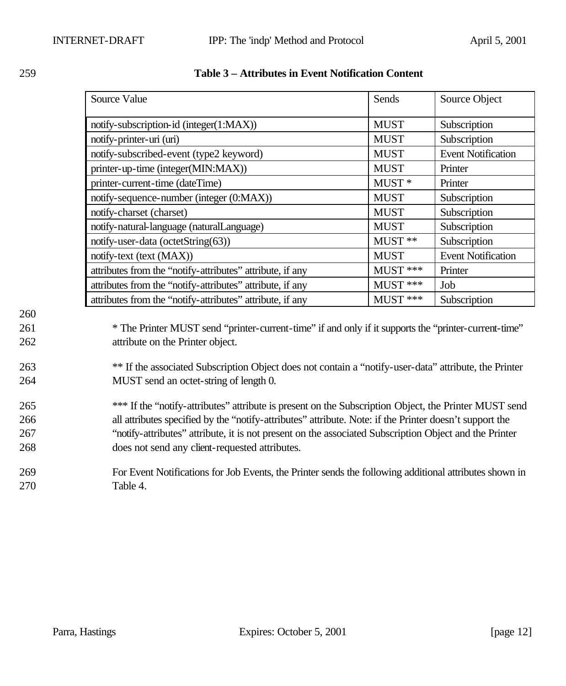|     | Source Value                                                                                            | Sends             | Source Object             |
|-----|---------------------------------------------------------------------------------------------------------|-------------------|---------------------------|
|     | notify-subscription-id (integer(1:MAX))                                                                 | <b>MUST</b>       | Subscription              |
|     | notify-printer-uri (uri)                                                                                | <b>MUST</b>       | Subscription              |
|     | notify-subscribed-event (type2 keyword)                                                                 | <b>MUST</b>       | <b>Event Notification</b> |
|     | printer-up-time (integer(MIN:MAX))                                                                      | <b>MUST</b>       | Printer                   |
|     | printer-current-time (dateTime)                                                                         | MUST <sup>*</sup> | Printer                   |
|     | notify-sequence-number (integer (0:MAX))                                                                | <b>MUST</b>       | Subscription              |
|     | notify-charset (charset)                                                                                | <b>MUST</b>       | Subscription              |
|     | notify-natural-language (naturalLanguage)                                                               | <b>MUST</b>       | Subscription              |
|     | notify-user-data (octetString(63))                                                                      | MUST **           | Subscription              |
|     | notify-text (text (MAX))                                                                                | <b>MUST</b>       | <b>Event Notification</b> |
|     | attributes from the "notify-attributes" attribute, if any                                               | MUST ***          | Printer                   |
|     | attributes from the "notify-attributes" attribute, if any                                               | MUST ***          | Job                       |
|     | attributes from the "notify-attributes" attribute, if any                                               | MUST ***          | Subscription              |
| 260 |                                                                                                         |                   |                           |
| 261 | * The Printer MUST send "printer-current-time" if and only if it supports the "printer-current-time"    |                   |                           |
| 262 | attribute on the Printer object.                                                                        |                   |                           |
|     |                                                                                                         |                   |                           |
| 263 | ** If the associated Subscription Object does not contain a "notify-user-data" attribute, the Printer   |                   |                           |
| 264 | MUST send an octet-string of length 0.                                                                  |                   |                           |
| 265 | *** If the "notify-attributes" attribute is present on the Subscription Object, the Printer MUST send   |                   |                           |
| 266 | all attributes specified by the "notify-attributes" attribute. Note: if the Printer doesn't support the |                   |                           |
| 267 | "notify-attributes" attribute, it is not present on the associated Subscription Object and the Printer  |                   |                           |
| 268 | does not send any client-requested attributes.                                                          |                   |                           |
|     |                                                                                                         |                   |                           |
| 269 | For Event Notifications for Job Events, the Printer sends the following additional attributes shown in  |                   |                           |
| 270 | Table 4.                                                                                                |                   |                           |

#### 259 **Table 3 – Attributes in Event Notification Content**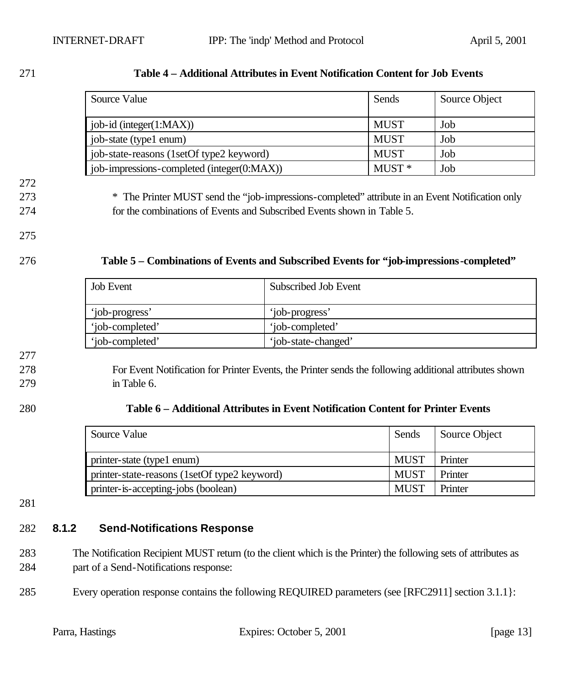#### 271 **Table 4 – Additional Attributes in Event Notification Content for Job Events**

| Source Value                               | Sends       | Source Object |
|--------------------------------------------|-------------|---------------|
| job-id (integer(1:MAX))                    | <b>MUST</b> | Job           |
| job-state (type1 enum)                     | <b>MUST</b> | Job           |
| job-state-reasons (1setOf type2 keyword)   | <b>MUST</b> | Job           |
| job-impressions-completed (integer(0:MAX)) | $MUST*$     | Job           |

272

273 \* The Printer MUST send the "job-impressions-completed" attribute in an Event Notification only 274 for the combinations of Events and Subscribed Events shown in Table 5.

275

#### 276 **Table 5 – Combinations of Events and Subscribed Events for "job-impressions-completed"**

| <b>Job Event</b> | Subscribed Job Event |
|------------------|----------------------|
| 'job-progress'   | 'job-progress'       |
| 'iob-completed'  | 'iob-completed'      |
| 'job-completed'  | 'job-state-changed'  |

277

278 For Event Notification for Printer Events, the Printer sends the following additional attributes shown 279 in Table 6.

#### 280 **Table 6 – Additional Attributes in Event Notification Content for Printer Events**

| Source Value                                 | Sends       | Source Object |
|----------------------------------------------|-------------|---------------|
| printer-state (type1 enum)                   | <b>MUST</b> | Printer       |
| printer-state-reasons (1setOf type2 keyword) | <b>MUST</b> | Printer       |
| printer-is-accepting-jobs (boolean)          | <b>MUST</b> | Printer       |

281

#### 282 **8.1.2 Send-Notifications Response**

283 The Notification Recipient MUST return (to the client which is the Printer) the following sets of attributes as 284 part of a Send-Notifications response:

285 Every operation response contains the following REQUIRED parameters (see [RFC2911] section 3.1.1}: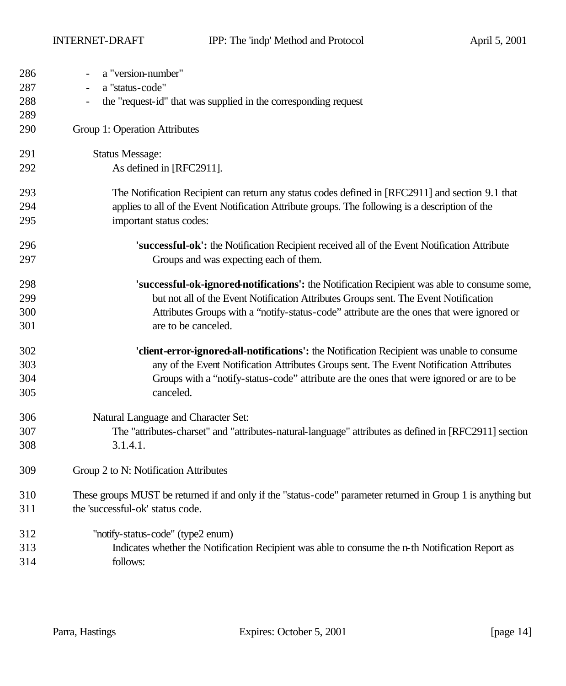| 286 | a "version-number"                                                                                           |
|-----|--------------------------------------------------------------------------------------------------------------|
| 287 | a "status-code"                                                                                              |
| 288 | the "request-id" that was supplied in the corresponding request                                              |
| 289 |                                                                                                              |
| 290 | Group 1: Operation Attributes                                                                                |
| 291 | <b>Status Message:</b>                                                                                       |
| 292 | As defined in [RFC2911].                                                                                     |
| 293 | The Notification Recipient can return any status codes defined in [RFC2911] and section 9.1 that             |
| 294 | applies to all of the Event Notification Attribute groups. The following is a description of the             |
| 295 | important status codes:                                                                                      |
| 296 | 'successful-ok': the Notification Recipient received all of the Event Notification Attribute                 |
| 297 | Groups and was expecting each of them.                                                                       |
| 298 | 'successful-ok-ignored-notifications': the Notification Recipient was able to consume some,                  |
| 299 | but not all of the Event Notification Attributes Groups sent. The Event Notification                         |
| 300 | Attributes Groups with a "notify-status-code" attribute are the ones that were ignored or                    |
| 301 | are to be canceled.                                                                                          |
| 302 | 'client-error-ignored-all-notifications': the Notification Recipient was unable to consume                   |
| 303 | any of the Event Notification Attributes Groups sent. The Event Notification Attributes                      |
| 304 | Groups with a "notify-status-code" attribute are the ones that were ignored or are to be                     |
| 305 | canceled.                                                                                                    |
| 306 | Natural Language and Character Set:                                                                          |
| 307 | The "attributes-charset" and "attributes-natural-language" attributes as defined in [RFC2911] section        |
| 308 | 3.1.4.1.                                                                                                     |
| 309 | Group 2 to N: Notification Attributes                                                                        |
| 310 | These groups MUST be returned if and only if the "status-code" parameter returned in Group 1 is anything but |
| 311 | the 'successful-ok' status code.                                                                             |
| 312 | "notify-status-code" (type2 enum)                                                                            |
| 313 | Indicates whether the Notification Recipient was able to consume the n-th Notification Report as             |
| 314 | follows:                                                                                                     |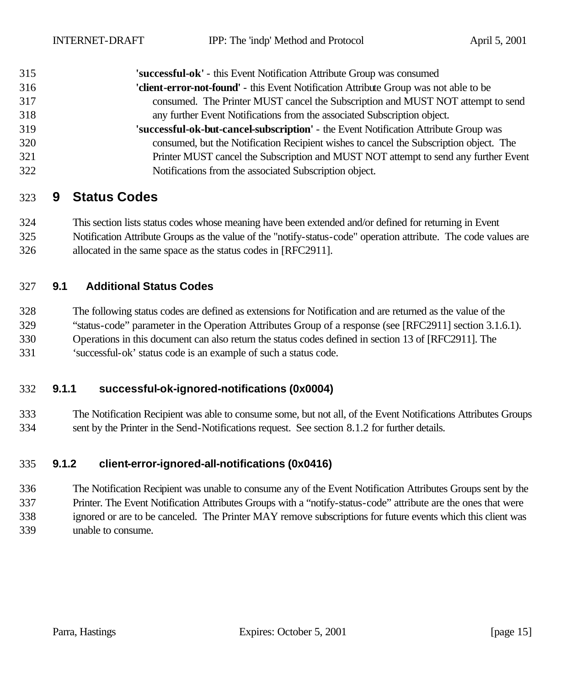| 315 | 'successful-ok' - this Event Notification Attribute Group was consumed                 |
|-----|----------------------------------------------------------------------------------------|
| 316 | 'client-error-not-found' - this Event Notification Attribute Group was not able to be  |
| 317 | consumed. The Printer MUST cancel the Subscription and MUST NOT attempt to send        |
| 318 | any further Event Notifications from the associated Subscription object.               |
| 319 | 'successful-ok-but-cancel-subscription' - the Event Notification Attribute Group was   |
| 320 | consumed, but the Notification Recipient wishes to cancel the Subscription object. The |
| 321 | Printer MUST cancel the Subscription and MUST NOT attempt to send any further Event    |
| 322 | Notifications from the associated Subscription object.                                 |

### **9 Status Codes**

 This section lists status codes whose meaning have been extended and/or defined for returning in Event Notification Attribute Groups as the value of the "notify-status-code" operation attribute. The code values are allocated in the same space as the status codes in [RFC2911].

#### **9.1 Additional Status Codes**

The following status codes are defined as extensions for Notification and are returned as the value of the

"status-code" parameter in the Operation Attributes Group of a response (see [RFC2911] section 3.1.6.1).

Operations in this document can also return the status codes defined in section 13 of [RFC2911]. The

'successful-ok' status code is an example of such a status code.

#### **9.1.1 successful-ok-ignored-notifications (0x0004)**

 The Notification Recipient was able to consume some, but not all, of the Event Notifications Attributes Groups sent by the Printer in the Send-Notifications request. See section 8.1.2 for further details.

#### **9.1.2 client-error-ignored-all-notifications (0x0416)**

 The Notification Recipient was unable to consume any of the Event Notification Attributes Groups sent by the Printer. The Event Notification Attributes Groups with a "notify-status-code" attribute are the ones that were ignored or are to be canceled. The Printer MAY remove subscriptions for future events which this client was unable to consume.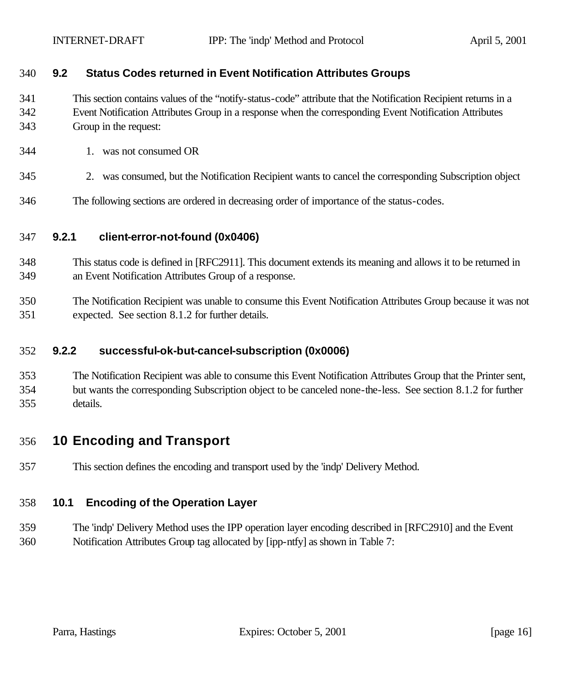#### **9.2 Status Codes returned in Event Notification Attributes Groups**

 This section contains values of the "notify-status-code" attribute that the Notification Recipient returns in a Event Notification Attributes Group in a response when the corresponding Event Notification Attributes Group in the request:

- 1. was not consumed OR
- 2. was consumed, but the Notification Recipient wants to cancel the corresponding Subscription object
- The following sections are ordered in decreasing order of importance of the status-codes.

#### **9.2.1 client-error-not-found (0x0406)**

- This status code is defined in [RFC2911]. This document extends its meaning and allows it to be returned in an Event Notification Attributes Group of a response.
- The Notification Recipient was unable to consume this Event Notification Attributes Group because it was not expected. See section 8.1.2 for further details.

#### **9.2.2 successful-ok-but-cancel-subscription (0x0006)**

 The Notification Recipient was able to consume this Event Notification Attributes Group that the Printer sent, but wants the corresponding Subscription object to be canceled none-the-less. See section 8.1.2 for further details.

### **10 Encoding and Transport**

This section defines the encoding and transport used by the 'indp' Delivery Method.

#### **10.1 Encoding of the Operation Layer**

 The 'indp' Delivery Method uses the IPP operation layer encoding described in [RFC2910] and the Event Notification Attributes Group tag allocated by [ipp-ntfy] as shown in Table 7: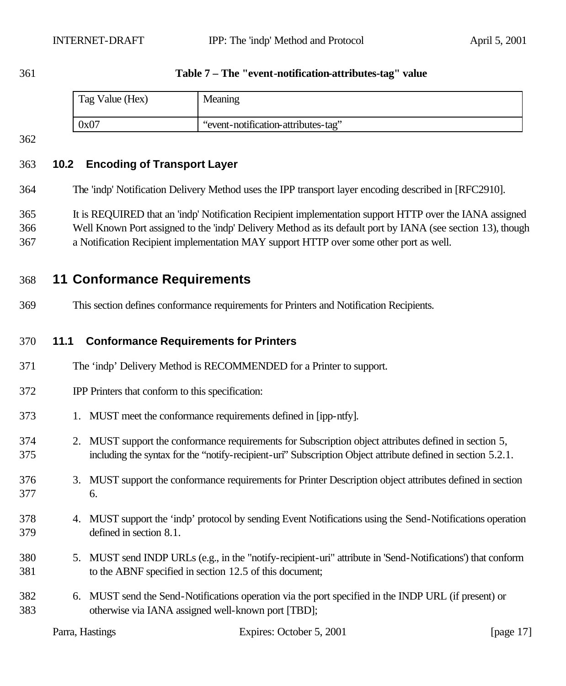#### **Table 7 – The "event-notification-attributes-tag" value**

| Tag Value (Hex) | Meaning                             |
|-----------------|-------------------------------------|
| 0x07            | "event-notification-attributes-tag" |

### **10.2 Encoding of Transport Layer**

The 'indp' Notification Delivery Method uses the IPP transport layer encoding described in [RFC2910].

It is REQUIRED that an 'indp' Notification Recipient implementation support HTTP over the IANA assigned

- Well Known Port assigned to the 'indp' Delivery Method as its default port by IANA (see section 13), though
- a Notification Recipient implementation MAY support HTTP over some other port as well.

### **11 Conformance Requirements**

This section defines conformance requirements for Printers and Notification Recipients.

#### **11.1 Conformance Requirements for Printers**

- The 'indp' Delivery Method is RECOMMENDED for a Printer to support.
- IPP Printers that conform to this specification:
- 1. MUST meet the conformance requirements defined in [ipp-ntfy].
- 2. MUST support the conformance requirements for Subscription object attributes defined in section 5, including the syntax for the "notify-recipient-uri" Subscription Object attribute defined in section 5.2.1.
- 3. MUST support the conformance requirements for Printer Description object attributes defined in section 6.
- 4. MUST support the 'indp' protocol by sending Event Notifications using the Send-Notifications operation defined in section 8.1.
- 5. MUST send INDP URLs (e.g., in the "notify-recipient-uri" attribute in 'Send-Notifications') that conform to the ABNF specified in section 12.5 of this document;
- 6. MUST send the Send-Notifications operation via the port specified in the INDP URL (if present) or otherwise via IANA assigned well-known port [TBD];

| Parra, Hastings | Expires: October 5, 2001 | [page 17] |
|-----------------|--------------------------|-----------|
|                 |                          |           |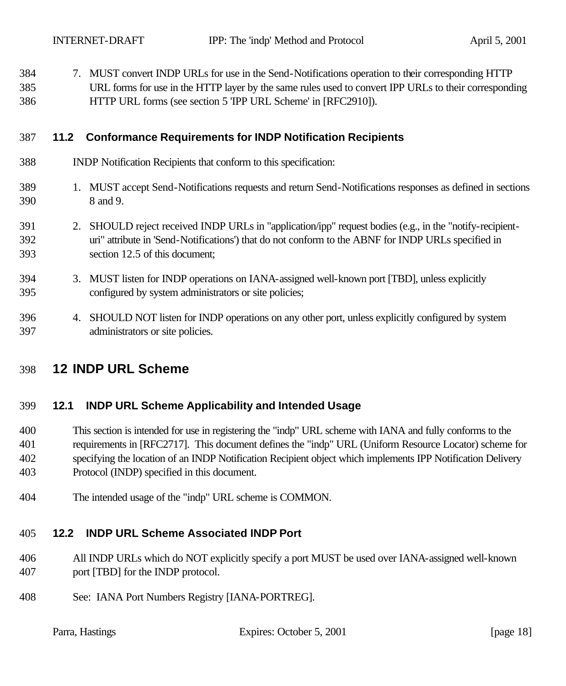| 384 | 7. MUST convert INDP URLs for use in the Send-Notifications operation to their corresponding HTTP     |
|-----|-------------------------------------------------------------------------------------------------------|
| 385 | URL forms for use in the HTTP layer by the same rules used to convert IPP URLs to their corresponding |
| 386 | HTTP URL forms (see section 5 'IPP URL Scheme' in [RFC2910]).                                         |

#### **11.2 Conformance Requirements for INDP Notification Recipients**

- INDP Notification Recipients that conform to this specification:
- 1. MUST accept Send-Notifications requests and return Send-Notifications responses as defined in sections 8 and 9.
- 2. SHOULD reject received INDP URLs in "application/ipp" request bodies (e.g., in the "notify-recipient- uri" attribute in 'Send-Notifications') that do not conform to the ABNF for INDP URLs specified in section 12.5 of this document;
- 3. MUST listen for INDP operations on IANA-assigned well-known port [TBD], unless explicitly configured by system administrators or site policies;
- 4. SHOULD NOT listen for INDP operations on any other port, unless explicitly configured by system administrators or site policies.

### **12 INDP URL Scheme**

#### **12.1 INDP URL Scheme Applicability and Intended Usage**

 This section is intended for use in registering the "indp" URL scheme with IANA and fully conforms to the requirements in [RFC2717]. This document defines the "indp" URL (Uniform Resource Locator) scheme for specifying the location of an INDP Notification Recipient object which implements IPP Notification Delivery Protocol (INDP) specified in this document.

The intended usage of the "indp" URL scheme is COMMON.

#### **12.2 INDP URL Scheme Associated INDP Port**

- All INDP URLs which do NOT explicitly specify a port MUST be used over IANA-assigned well-known port [TBD] for the INDP protocol.
- See: IANA Port Numbers Registry [IANA-PORTREG].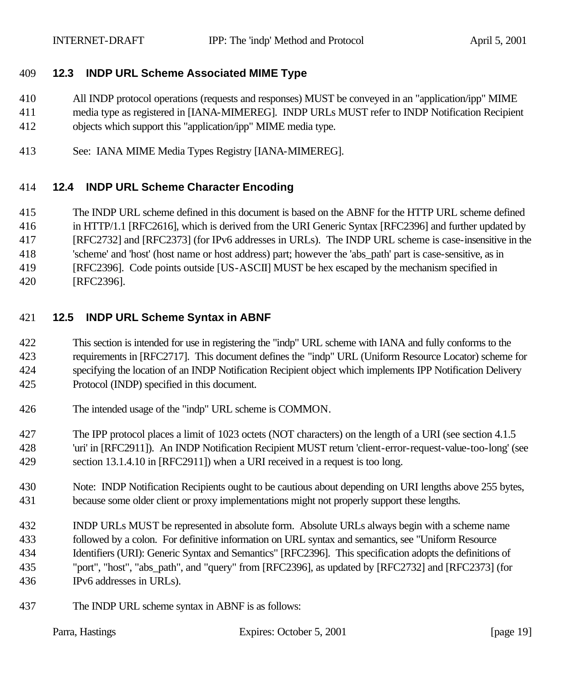#### **12.3 INDP URL Scheme Associated MIME Type**

- All INDP protocol operations (requests and responses) MUST be conveyed in an "application/ipp" MIME
- media type as registered in [IANA-MIMEREG]. INDP URLs MUST refer to INDP Notification Recipient
- objects which support this "application/ipp" MIME media type.
- See: IANA MIME Media Types Registry [IANA-MIMEREG].

### **12.4 INDP URL Scheme Character Encoding**

- The INDP URL scheme defined in this document is based on the ABNF for the HTTP URL scheme defined
- in HTTP/1.1 [RFC2616], which is derived from the URI Generic Syntax [RFC2396] and further updated by
- [RFC2732] and [RFC2373] (for IPv6 addresses in URLs). The INDP URL scheme is case-insensitive in the
- 'scheme' and 'host' (host name or host address) part; however the 'abs\_path' part is case-sensitive, as in
- [RFC2396]. Code points outside [US-ASCII] MUST be hex escaped by the mechanism specified in
- [RFC2396].

### **12.5 INDP URL Scheme Syntax in ABNF**

- This section is intended for use in registering the "indp" URL scheme with IANA and fully conforms to the requirements in [RFC2717]. This document defines the "indp" URL (Uniform Resource Locator) scheme for specifying the location of an INDP Notification Recipient object which implements IPP Notification Delivery Protocol (INDP) specified in this document.
- The intended usage of the "indp" URL scheme is COMMON.
- The IPP protocol places a limit of 1023 octets (NOT characters) on the length of a URI (see section 4.1.5 'uri' in [RFC2911]). An INDP Notification Recipient MUST return 'client-error-request-value-too-long' (see section 13.1.4.10 in [RFC2911]) when a URI received in a request is too long.
- Note: INDP Notification Recipients ought to be cautious about depending on URI lengths above 255 bytes, because some older client or proxy implementations might not properly support these lengths.
- INDP URLs MUST be represented in absolute form. Absolute URLs always begin with a scheme name followed by a colon. For definitive information on URL syntax and semantics, see "Uniform Resource Identifiers (URI): Generic Syntax and Semantics" [RFC2396]. This specification adopts the definitions of "port", "host", "abs\_path", and "query" from [RFC2396], as updated by [RFC2732] and [RFC2373] (for IPv6 addresses in URLs).
- The INDP URL scheme syntax in ABNF is as follows:

|  | Parra, Hastings |
|--|-----------------|
|--|-----------------|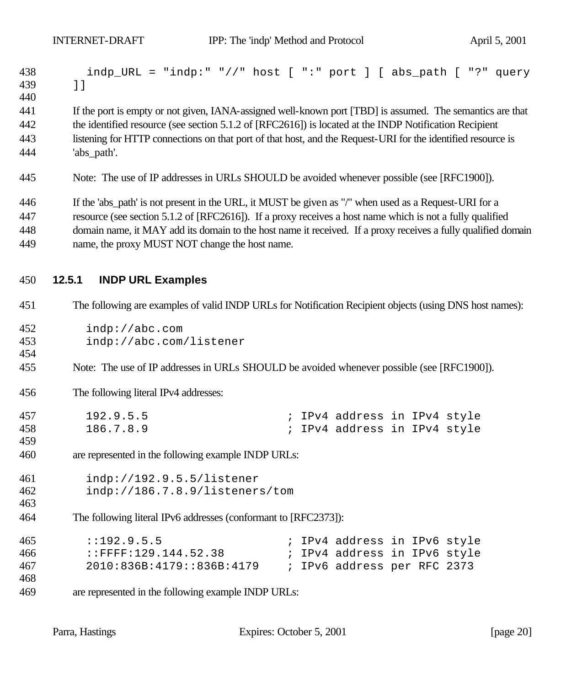| 438<br>439<br>440 | indp_URL = "indp:" "//" host [ ":" port ] [ abs_path [ "?" query<br>$\lbrack$ $\lbrack$                       |
|-------------------|---------------------------------------------------------------------------------------------------------------|
| 441               | If the port is empty or not given, IANA-assigned well-known port [TBD] is assumed. The semantics are that     |
| 442               | the identified resource (see section 5.1.2 of [RFC2616]) is located at the INDP Notification Recipient        |
| 443               | listening for HTTP connections on that port of that host, and the Request-URI for the identified resource is  |
| 444               | 'abs_path'.                                                                                                   |
| 445               | Note: The use of IP addresses in URLs SHOULD be avoided whenever possible (see [RFC1900]).                    |
| 446               | If the 'abs_path' is not present in the URL, it MUST be given as "/" when used as a Request-URI for a         |
| 447               | resource (see section 5.1.2 of [RFC2616]). If a proxy receives a host name which is not a fully qualified     |
| 448               | domain name, it MAY add its domain to the host name it received. If a proxy receives a fully qualified domain |
| 449               | name, the proxy MUST NOT change the host name.                                                                |
| 450               | 12.5.1<br><b>INDP URL Examples</b>                                                                            |
| 451               | The following are examples of valid INDP URLs for Notification Recipient objects (using DNS host names):      |
| 452               | indp://abc.com                                                                                                |
| 453               | indp://abc.com/listener                                                                                       |
| 454               |                                                                                                               |
| 455               | Note: The use of IP addresses in URLs SHOULD be avoided whenever possible (see [RFC1900]).                    |
| 456               | The following literal IPv4 addresses:                                                                         |
| 457               | 192.9.5.5<br>; IPv4 address in IPv4 style                                                                     |
| 458               | 186.7.8.9<br>; IPv4 address in IPv4 style                                                                     |
| 459               |                                                                                                               |
| 460               | are represented in the following example INDP URLs:                                                           |
| 461               | indp://192.9.5.5/listener                                                                                     |
| 462               | indp://186.7.8.9/listeners/tom                                                                                |
| 463               |                                                                                                               |
| 464               | The following literal IPv6 addresses (conformant to [RFC2373]):                                               |
| 465               | : : 192.9.5.5<br>; IPv4 address in IPv6 style                                                                 |
| 466               | $:$ FFFF $:129.144.52.38$<br>; IPv4 address in IPv6 style                                                     |
| 467               | 2010:836B:4179::836B:4179<br>; IPv6 address per RFC 2373                                                      |
| 468               |                                                                                                               |
| 469               | are represented in the following example INDP URLs:                                                           |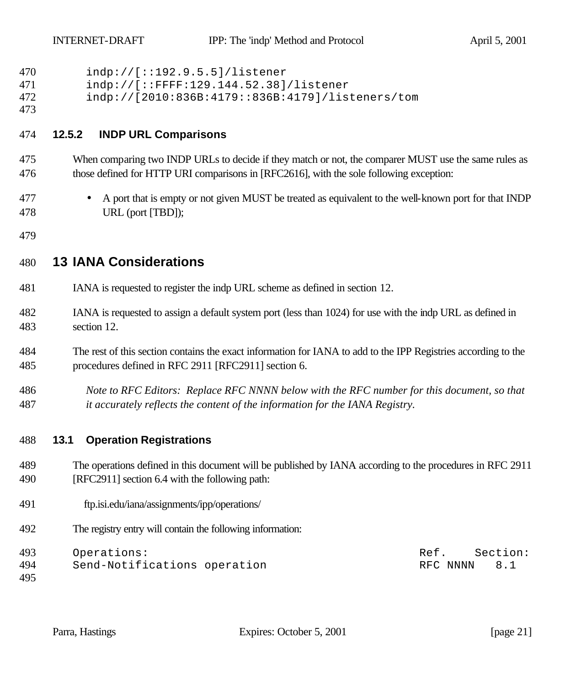| 470        | indp://[::192.9.5.5]/listener                                                                                  |
|------------|----------------------------------------------------------------------------------------------------------------|
| 471        | indp://[::FFFF:129.144.52.38]/listener                                                                         |
| 472<br>473 | indp://[2010:836B:4179::836B:4179]/listeners/tom                                                               |
| 474        | <b>INDP URL Comparisons</b><br>12.5.2                                                                          |
| 475        | When comparing two INDP URLs to decide if they match or not, the comparer MUST use the same rules as           |
| 476        | those defined for HTTP URI comparisons in [RFC2616], with the sole following exception:                        |
| 477        | A port that is empty or not given MUST be treated as equivalent to the well-known port for that INDP           |
| 478        | URL (port [TBD]);                                                                                              |
| 479        |                                                                                                                |
| 480        | <b>13 IANA Considerations</b>                                                                                  |
| 481        | IANA is requested to register the indp URL scheme as defined in section 12.                                    |
| 482        | IANA is requested to assign a default system port (less than 1024) for use with the indp URL as defined in     |
| 483        | section 12.                                                                                                    |
| 484        | The rest of this section contains the exact information for IANA to add to the IPP Registries according to the |
| 485        | procedures defined in RFC 2911 [RFC2911] section 6.                                                            |
| 486        | Note to RFC Editors: Replace RFC NNNN below with the RFC number for this document, so that                     |
| 487        | it accurately reflects the content of the information for the IANA Registry.                                   |
| 488        | <b>Operation Registrations</b><br>13.1                                                                         |
| 489        | The operations defined in this document will be published by IANA according to the procedures in RFC 2911      |
| 490        | [RFC2911] section 6.4 with the following path:                                                                 |
| 491        | ftp.isi.edu/iana/assignments/ipp/operations/                                                                   |
| 492        | The registry entry will contain the following information:                                                     |
| 493        | Operations:<br>Section:<br>Ref.                                                                                |
| 494        | Send-Notifications operation<br>RFC NNNN<br>8.1                                                                |
| 495        |                                                                                                                |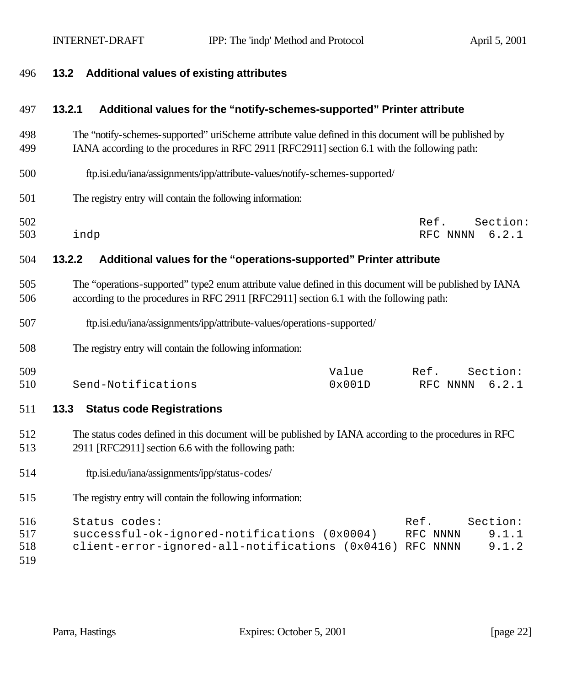| 496                      | <b>Additional values of existing attributes</b><br>13.2                                                                                                                                               |  |  |
|--------------------------|-------------------------------------------------------------------------------------------------------------------------------------------------------------------------------------------------------|--|--|
| 497                      | 13.2.1<br>Additional values for the "notify-schemes-supported" Printer attribute                                                                                                                      |  |  |
| 498<br>499               | The "notify-schemes-supported" uriScheme attribute value defined in this document will be published by<br>IANA according to the procedures in RFC 2911 [RFC2911] section 6.1 with the following path: |  |  |
| 500                      | ftp.isi.edu/iana/assignments/ipp/attribute-values/notify-schemes-supported/                                                                                                                           |  |  |
| 501                      | The registry entry will contain the following information:                                                                                                                                            |  |  |
| 502<br>503               | Section:<br>Ref.<br>indp<br>6.2.1<br>RFC NNNN                                                                                                                                                         |  |  |
| 504                      | Additional values for the "operations-supported" Printer attribute<br>13.2.2                                                                                                                          |  |  |
| 505<br>506               | The "operations-supported" type2 enum attribute value defined in this document will be published by IANA<br>according to the procedures in RFC 2911 [RFC2911] section 6.1 with the following path:    |  |  |
| 507                      | ftp.isi.edu/iana/assignments/ipp/attribute-values/operations-supported/                                                                                                                               |  |  |
| 508                      | The registry entry will contain the following information:                                                                                                                                            |  |  |
| 509<br>510               | Value<br>Section:<br>Ref.<br>Send-Notifications<br>0x001D<br>6.2.1<br>RFC NNNN                                                                                                                        |  |  |
| 511                      | 13.3<br><b>Status code Registrations</b>                                                                                                                                                              |  |  |
| 512<br>513               | The status codes defined in this document will be published by IANA according to the procedures in RFC<br>2911 [RFC2911] section 6.6 with the following path:                                         |  |  |
| 514                      | ftp.isi.edu/iana/assignments/ipp/status-codes/                                                                                                                                                        |  |  |
| 515                      | The registry entry will contain the following information:                                                                                                                                            |  |  |
| 516<br>517<br>518<br>519 | Status codes:<br>Ref.<br>Section:<br>successful-ok-ignored-notifications (0x0004)<br>9.1.1<br>RFC NNNN<br>client-error-ignored-all-notifications (0x0416)<br>9.1.2<br>RFC NNNN                        |  |  |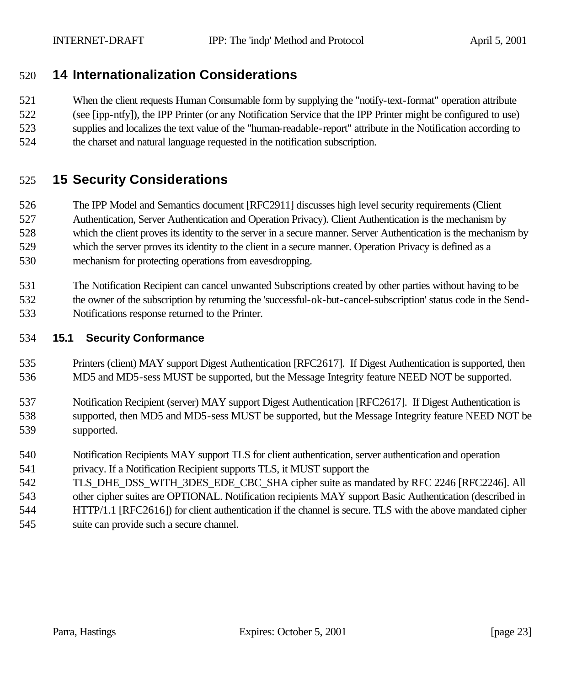## **14 Internationalization Considerations**

 When the client requests Human Consumable form by supplying the "notify-text-format" operation attribute (see [ipp-ntfy]), the IPP Printer (or any Notification Service that the IPP Printer might be configured to use) supplies and localizes the text value of the "human-readable-report" attribute in the Notification according to the charset and natural language requested in the notification subscription.

# **15 Security Considerations**

 The IPP Model and Semantics document [RFC2911] discusses high level security requirements (Client Authentication, Server Authentication and Operation Privacy). Client Authentication is the mechanism by which the client proves its identity to the server in a secure manner. Server Authentication is the mechanism by which the server proves its identity to the client in a secure manner. Operation Privacy is defined as a mechanism for protecting operations from eavesdropping.

 The Notification Recipient can cancel unwanted Subscriptions created by other parties without having to be the owner of the subscription by returning the 'successful-ok-but-cancel-subscription' status code in the Send-Notifications response returned to the Printer.

#### **15.1 Security Conformance**

- Printers (client) MAY support Digest Authentication [RFC2617]. If Digest Authentication is supported, then MD5 and MD5-sess MUST be supported, but the Message Integrity feature NEED NOT be supported.
- Notification Recipient (server) MAY support Digest Authentication [RFC2617]. If Digest Authentication is supported, then MD5 and MD5-sess MUST be supported, but the Message Integrity feature NEED NOT be supported.
- Notification Recipients MAY support TLS for client authentication, server authentication and operation
- privacy. If a Notification Recipient supports TLS, it MUST support the
- 542 TLS DHE DSS WITH 3DES EDE CBC SHA cipher suite as mandated by RFC 2246 [RFC2246]. All
- other cipher suites are OPTIONAL. Notification recipients MAY support Basic Authentication (described in
- HTTP/1.1 [RFC2616]) for client authentication if the channel is secure. TLS with the above mandated cipher suite can provide such a secure channel.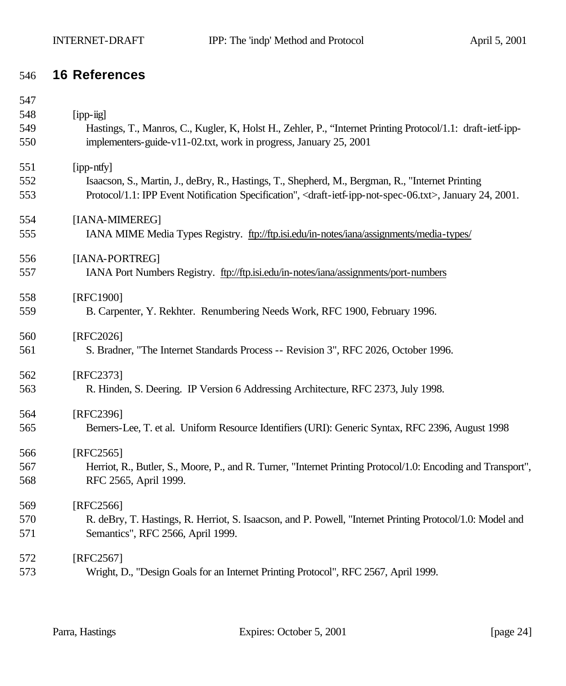## **16 References**

| 547 |                                                                                                                                           |
|-----|-------------------------------------------------------------------------------------------------------------------------------------------|
| 548 | $[$ ipp- $\ddot{u}$ g]                                                                                                                    |
| 549 | Hastings, T., Manros, C., Kugler, K., Holst H., Zehler, P., "Internet Printing Protocol/1.1: draft-ietf-ipp-                              |
| 550 | implementers-guide-v11-02.txt, work in progress, January 25, 2001                                                                         |
| 551 | [ipp-ntfy]                                                                                                                                |
| 552 | Isaacson, S., Martin, J., deBry, R., Hastings, T., Shepherd, M., Bergman, R., "Internet Printing                                          |
| 553 | Protocol/1.1: IPP Event Notification Specification", <draft-ietf-ipp-not-spec-06.txt>, January 24, 2001.</draft-ietf-ipp-not-spec-06.txt> |
| 554 | [IANA-MIMEREG]                                                                                                                            |
| 555 | IANA MIME Media Types Registry. ftp://ftp.isi.edu/in-notes/iana/assignments/media-types/                                                  |
| 556 | [IANA-PORTREG]                                                                                                                            |
| 557 | IANA Port Numbers Registry. ftp://ftp.isi.edu/in-notes/iana/assignments/port-numbers                                                      |
| 558 | [RFC1900]                                                                                                                                 |
| 559 | B. Carpenter, Y. Rekhter. Renumbering Needs Work, RFC 1900, February 1996.                                                                |
| 560 | [RFC2026]                                                                                                                                 |
| 561 | S. Bradner, "The Internet Standards Process -- Revision 3", RFC 2026, October 1996.                                                       |
| 562 | [RFC2373]                                                                                                                                 |
| 563 | R. Hinden, S. Deering. IP Version 6 Addressing Architecture, RFC 2373, July 1998.                                                         |
| 564 | [RFC2396]                                                                                                                                 |
| 565 | Berners-Lee, T. et al. Uniform Resource Identifiers (URI): Generic Syntax, RFC 2396, August 1998                                          |
| 566 | [RFC2565]                                                                                                                                 |
| 567 | Herriot, R., Butler, S., Moore, P., and R. Turner, "Internet Printing Protocol/1.0: Encoding and Transport",                              |
| 568 | RFC 2565, April 1999.                                                                                                                     |
| 569 | [RFC2566]                                                                                                                                 |
| 570 | R. deBry, T. Hastings, R. Herriot, S. Isaacson, and P. Powell, "Internet Printing Protocol/1.0: Model and                                 |
| 571 | Semantics", RFC 2566, April 1999.                                                                                                         |
| 572 | [RFC2567]                                                                                                                                 |
| 573 | Wright, D., "Design Goals for an Internet Printing Protocol", RFC 2567, April 1999.                                                       |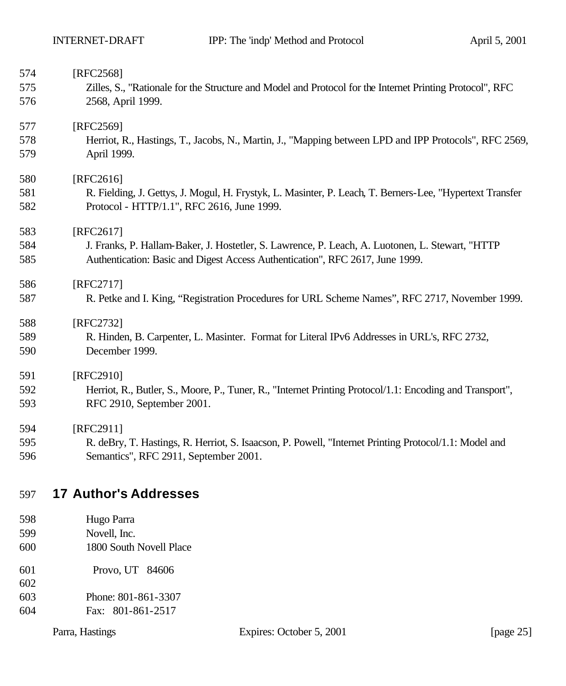| 574 | [RFC2568]                                                                                                |
|-----|----------------------------------------------------------------------------------------------------------|
| 575 | Zilles, S., "Rationale for the Structure and Model and Protocol for the Internet Printing Protocol", RFC |
| 576 | 2568, April 1999.                                                                                        |
| 577 | [RFC2569]                                                                                                |
| 578 | Herriot, R., Hastings, T., Jacobs, N., Martin, J., "Mapping between LPD and IPP Protocols", RFC 2569,    |
| 579 | April 1999.                                                                                              |
| 580 | [RFC2616]                                                                                                |
| 581 | R. Fielding, J. Gettys, J. Mogul, H. Frystyk, L. Masinter, P. Leach, T. Berners-Lee, "Hypertext Transfer |
| 582 | Protocol - HTTP/1.1", RFC 2616, June 1999.                                                               |
| 583 | [RFC2617]                                                                                                |
| 584 | J. Franks, P. Hallam-Baker, J. Hostetler, S. Lawrence, P. Leach, A. Luotonen, L. Stewart, "HTTP          |
| 585 | Authentication: Basic and Digest Access Authentication", RFC 2617, June 1999.                            |
| 586 | [RFC2717]                                                                                                |
| 587 | R. Petke and I. King, "Registration Procedures for URL Scheme Names", RFC 2717, November 1999.           |
| 588 | [RFC2732]                                                                                                |
| 589 | R. Hinden, B. Carpenter, L. Masinter. Format for Literal IPv6 Addresses in URL's, RFC 2732,              |
| 590 | December 1999.                                                                                           |
| 591 | [RFC2910]                                                                                                |
| 592 | Herriot, R., Butler, S., Moore, P., Tuner, R., "Internet Printing Protocol/1.1: Encoding and Transport", |
| 593 | RFC 2910, September 2001.                                                                                |
| 594 | [RFC2911]                                                                                                |
| 595 | R. deBry, T. Hastings, R. Herriot, S. Isaacson, P. Powell, "Internet Printing Protocol/1.1: Model and    |
| 596 | Semantics", RFC 2911, September 2001.                                                                    |
|     |                                                                                                          |

# **17 Author's Addresses**

- Hugo Parra
- Novell, Inc.
- 1800 South Novell Place
- Provo, UT 84606
- 
- Phone: 801-861-3307
- Fax: 801-861-2517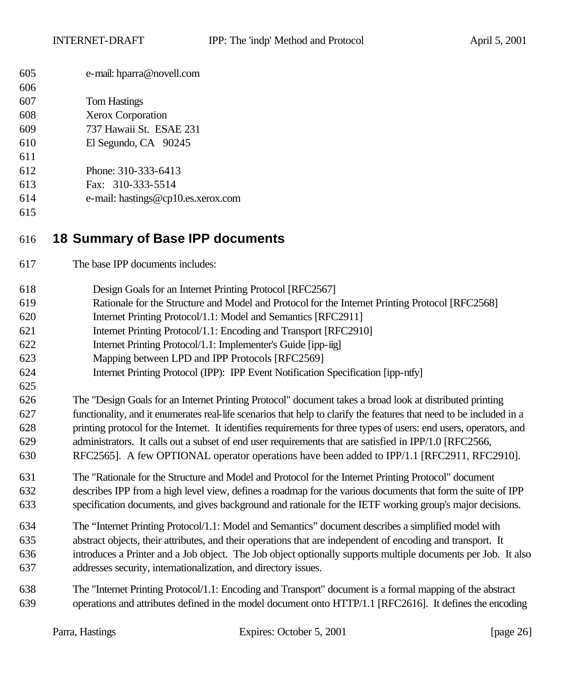| 605 | e-mail: hparra@novell.com |
|-----|---------------------------|
|-----|---------------------------|

| 607<br>Tom Hastings |
|---------------------|
|---------------------|

- Xerox Corporation
- 737 Hawaii St. ESAE 231
- El Segundo, CA 90245
- 
- Phone: 310-333-6413
- Fax: 310-333-5514
- e-mail: hastings@cp10.es.xerox.com
- 

# **18 Summary of Base IPP documents**

- The base IPP documents includes:
- Design Goals for an Internet Printing Protocol [RFC2567]
- Rationale for the Structure and Model and Protocol for the Internet Printing Protocol [RFC2568]
- Internet Printing Protocol/1.1: Model and Semantics [RFC2911]
- Internet Printing Protocol/1.1: Encoding and Transport [RFC2910]
- Internet Printing Protocol/1.1: Implementer's Guide [ipp-iig]
- Mapping between LPD and IPP Protocols [RFC2569]
- Internet Printing Protocol (IPP): IPP Event Notification Specification [ipp-ntfy]
- The "Design Goals for an Internet Printing Protocol" document takes a broad look at distributed printing functionality, and it enumerates real-life scenarios that help to clarify the features that need to be included in a printing protocol for the Internet. It identifies requirements for three types of users: end users, operators, and administrators. It calls out a subset of end user requirements that are satisfied in IPP/1.0 [RFC2566,
- RFC2565]. A few OPTIONAL operator operations have been added to IPP/1.1 [RFC2911, RFC2910].
- The "Rationale for the Structure and Model and Protocol for the Internet Printing Protocol" document describes IPP from a high level view, defines a roadmap for the various documents that form the suite of IPP specification documents, and gives background and rationale for the IETF working group's major decisions.
- The "Internet Printing Protocol/1.1: Model and Semantics" document describes a simplified model with abstract objects, their attributes, and their operations that are independent of encoding and transport. It introduces a Printer and a Job object. The Job object optionally supports multiple documents per Job. It also addresses security, internationalization, and directory issues.
- The "Internet Printing Protocol/1.1: Encoding and Transport" document is a formal mapping of the abstract operations and attributes defined in the model document onto HTTP/1.1 [RFC2616]. It defines the encoding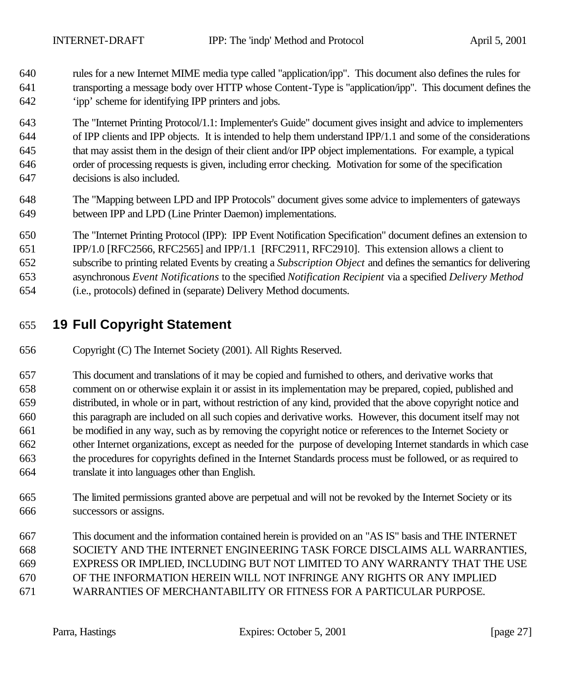rules for a new Internet MIME media type called "application/ipp". This document also defines the rules for transporting a message body over HTTP whose Content-Type is "application/ipp". This document defines the 'ipp' scheme for identifying IPP printers and jobs.

 The "Internet Printing Protocol/1.1: Implementer's Guide" document gives insight and advice to implementers of IPP clients and IPP objects. It is intended to help them understand IPP/1.1 and some of the considerations that may assist them in the design of their client and/or IPP object implementations. For example, a typical order of processing requests is given, including error checking. Motivation for some of the specification decisions is also included.

- The "Mapping between LPD and IPP Protocols" document gives some advice to implementers of gateways between IPP and LPD (Line Printer Daemon) implementations.
- The "Internet Printing Protocol (IPP): IPP Event Notification Specification" document defines an extension to IPP/1.0 [RFC2566, RFC2565] and IPP/1.1 [RFC2911, RFC2910]. This extension allows a client to
- subscribe to printing related Events by creating a *Subscription Object* and defines the semantics for delivering
- asynchronous *Event Notifications* to the specified *Notification Recipient* via a specified *Delivery Method*
- (i.e., protocols) defined in (separate) Delivery Method documents.

# **19 Full Copyright Statement**

Copyright (C) The Internet Society (2001). All Rights Reserved.

 This document and translations of it may be copied and furnished to others, and derivative works that comment on or otherwise explain it or assist in its implementation may be prepared, copied, published and distributed, in whole or in part, without restriction of any kind, provided that the above copyright notice and this paragraph are included on all such copies and derivative works. However, this document itself may not be modified in any way, such as by removing the copyright notice or references to the Internet Society or other Internet organizations, except as needed for the purpose of developing Internet standards in which case the procedures for copyrights defined in the Internet Standards process must be followed, or as required to translate it into languages other than English.

- The limited permissions granted above are perpetual and will not be revoked by the Internet Society or its successors or assigns.
- This document and the information contained herein is provided on an "AS IS" basis and THE INTERNET SOCIETY AND THE INTERNET ENGINEERING TASK FORCE DISCLAIMS ALL WARRANTIES, EXPRESS OR IMPLIED, INCLUDING BUT NOT LIMITED TO ANY WARRANTY THAT THE USE OF THE INFORMATION HEREIN WILL NOT INFRINGE ANY RIGHTS OR ANY IMPLIED WARRANTIES OF MERCHANTABILITY OR FITNESS FOR A PARTICULAR PURPOSE.